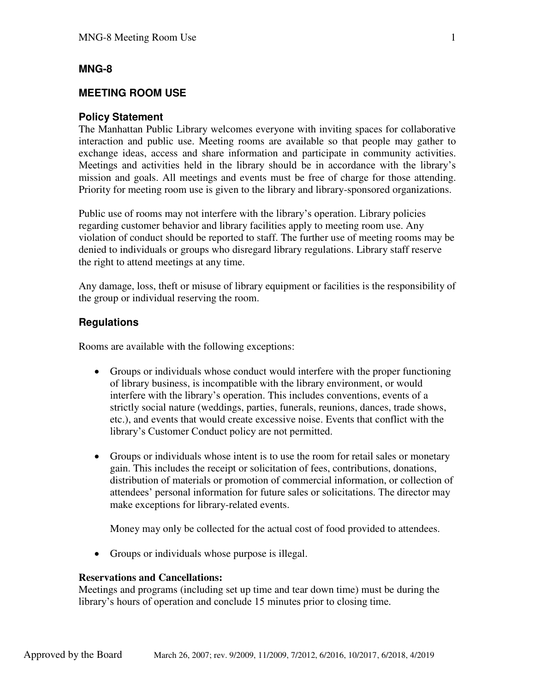## **MNG-8**

## **MEETING ROOM USE**

#### **Policy Statement**

The Manhattan Public Library welcomes everyone with inviting spaces for collaborative interaction and public use. Meeting rooms are available so that people may gather to exchange ideas, access and share information and participate in community activities. Meetings and activities held in the library should be in accordance with the library's mission and goals. All meetings and events must be free of charge for those attending. Priority for meeting room use is given to the library and library-sponsored organizations.

Public use of rooms may not interfere with the library's operation. Library policies regarding customer behavior and library facilities apply to meeting room use. Any violation of conduct should be reported to staff. The further use of meeting rooms may be denied to individuals or groups who disregard library regulations. Library staff reserve the right to attend meetings at any time.

Any damage, loss, theft or misuse of library equipment or facilities is the responsibility of the group or individual reserving the room.

#### **Regulations**

Rooms are available with the following exceptions:

- Groups or individuals whose conduct would interfere with the proper functioning of library business, is incompatible with the library environment, or would interfere with the library's operation. This includes conventions, events of a strictly social nature (weddings, parties, funerals, reunions, dances, trade shows, etc.), and events that would create excessive noise. Events that conflict with the library's Customer Conduct policy are not permitted.
- Groups or individuals whose intent is to use the room for retail sales or monetary gain. This includes the receipt or solicitation of fees, contributions, donations, distribution of materials or promotion of commercial information, or collection of attendees' personal information for future sales or solicitations. The director may make exceptions for library-related events.

Money may only be collected for the actual cost of food provided to attendees.

• Groups or individuals whose purpose is illegal.

### **Reservations and Cancellations:**

Meetings and programs (including set up time and tear down time) must be during the library's hours of operation and conclude 15 minutes prior to closing time.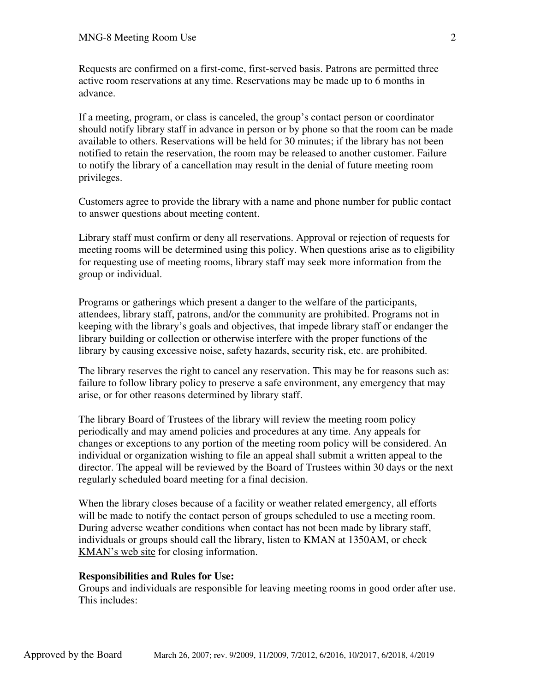Requests are confirmed on a first-come, first-served basis. Patrons are permitted three active room reservations at any time. Reservations may be made up to 6 months in advance.

If a meeting, program, or class is canceled, the group's contact person or coordinator should notify library staff in advance in person or by phone so that the room can be made available to others. Reservations will be held for 30 minutes; if the library has not been notified to retain the reservation, the room may be released to another customer. Failure to notify the library of a cancellation may result in the denial of future meeting room privileges.

Customers agree to provide the library with a name and phone number for public contact to answer questions about meeting content.

Library staff must confirm or deny all reservations. Approval or rejection of requests for meeting rooms will be determined using this policy. When questions arise as to eligibility for requesting use of meeting rooms, library staff may seek more information from the group or individual.

Programs or gatherings which present a danger to the welfare of the participants, attendees, library staff, patrons, and/or the community are prohibited. Programs not in keeping with the library's goals and objectives, that impede library staff or endanger the library building or collection or otherwise interfere with the proper functions of the library by causing excessive noise, safety hazards, security risk, etc. are prohibited.

The library reserves the right to cancel any reservation. This may be for reasons such as: failure to follow library policy to preserve a safe environment, any emergency that may arise, or for other reasons determined by library staff.

The library Board of Trustees of the library will review the meeting room policy periodically and may amend policies and procedures at any time. Any appeals for changes or exceptions to any portion of the meeting room policy will be considered. An individual or organization wishing to file an appeal shall submit a written appeal to the director. The appeal will be reviewed by the Board of Trustees within 30 days or the next regularly scheduled board meeting for a final decision.

When the library closes because of a facility or weather related emergency, all efforts will be made to notify the contact person of groups scheduled to use a meeting room. During adverse weather conditions when contact has not been made by library staff, individuals or groups should call the library, listen to KMAN at 1350AM, or check [KMAN's web site](http://www.1350kman.com/favicon.ico) for closing information.

### **Responsibilities and Rules for Use:**

Groups and individuals are responsible for leaving meeting rooms in good order after use. This includes: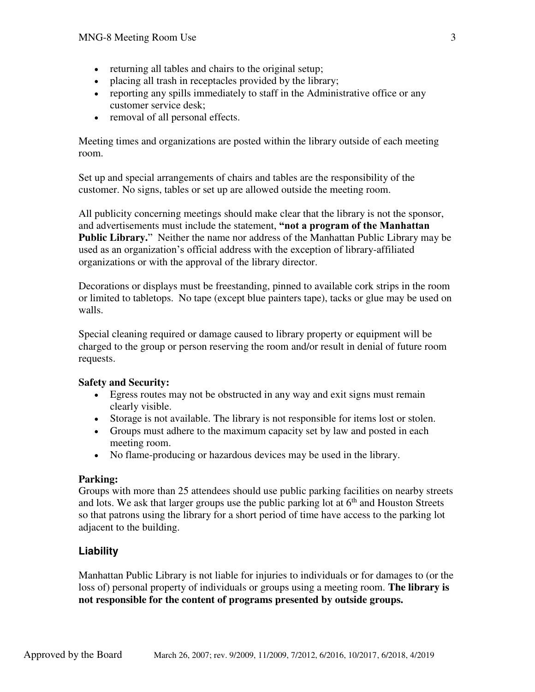- returning all tables and chairs to the original setup;
- placing all trash in receptacles provided by the library;
- reporting any spills immediately to staff in the Administrative office or any customer service desk;
- removal of all personal effects.

Meeting times and organizations are posted within the library outside of each meeting room.

Set up and special arrangements of chairs and tables are the responsibility of the customer. No signs, tables or set up are allowed outside the meeting room.

All publicity concerning meetings should make clear that the library is not the sponsor, and advertisements must include the statement, **"not a program of the Manhattan Public Library.**" Neither the name nor address of the Manhattan Public Library may be used as an organization's official address with the exception of library-affiliated organizations or with the approval of the library director.

Decorations or displays must be freestanding, pinned to available cork strips in the room or limited to tabletops. No tape (except blue painters tape), tacks or glue may be used on walls.

Special cleaning required or damage caused to library property or equipment will be charged to the group or person reserving the room and/or result in denial of future room requests.

## **Safety and Security:**

- Egress routes may not be obstructed in any way and exit signs must remain clearly visible.
- Storage is not available. The library is not responsible for items lost or stolen.
- Groups must adhere to the maximum capacity set by law and posted in each meeting room.
- No flame-producing or hazardous devices may be used in the library.

### **Parking:**

Groups with more than 25 attendees should use public parking facilities on nearby streets and lots. We ask that larger groups use the public parking lot at  $6<sup>th</sup>$  and Houston Streets so that patrons using the library for a short period of time have access to the parking lot adjacent to the building.

# **Liability**

Manhattan Public Library is not liable for injuries to individuals or for damages to (or the loss of) personal property of individuals or groups using a meeting room. **The library is not responsible for the content of programs presented by outside groups.**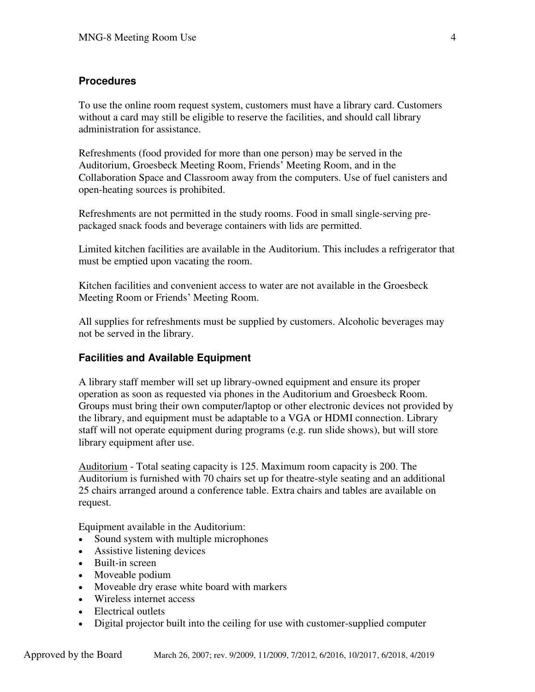# **Procedures**

To use the online room request system, customers must have a library card. Customers without a card may still be eligible to reserve the facilities, and should call library administration for assistance.

Refreshments (food provided for more than one person) may be served in the Auditorium, Groesbeck Meeting Room, Friends' Meeting Room, and in the Collaboration Space and Classroom away from the computers. Use of fuel canisters and open-heating sources is prohibited.

Refreshments are not permitted in the study rooms. Food in small single-serving prepackaged snack foods and beverage containers with lids are permitted.

Limited kitchen facilities are available in the Auditorium. This includes a refrigerator that must be emptied upon vacating the room.

Kitchen facilities and convenient access to water are not available in the Groesbeck Meeting Room or Friends' Meeting Room.

All supplies for refreshments must be supplied by customers. Alcoholic beverages may not be served in the library.

## **Facilities and Available Equipment**

A library staff member will set up library-owned equipment and ensure its proper operation as soon as requested via phones in the Auditorium and Groesbeck Room. Groups must bring their own computer/laptop or other electronic devices not provided by the library, and equipment must be adaptable to a VGA or HDMI connection. Library staff will not operate equipment during programs (e.g. run slide shows), but will store library equipment after use.

[Auditorium](http://www.manhattan.lib.ks.us/images/meetingrooms/auditorium.JPG) - Total seating capacity is 125. Maximum room capacity is 200. The Auditorium is furnished with 70 chairs set up for theatre-style seating and an additional 25 chairs arranged around a conference table. Extra chairs and tables are available on request.

Equipment available in the Auditorium:

- Sound system with multiple microphones
- Assistive listening devices
- Built-in screen
- Moveable podium
- Moveable dry erase white board with markers
- Wireless internet access
- Electrical outlets
- Digital projector built into the ceiling for use with customer-supplied computer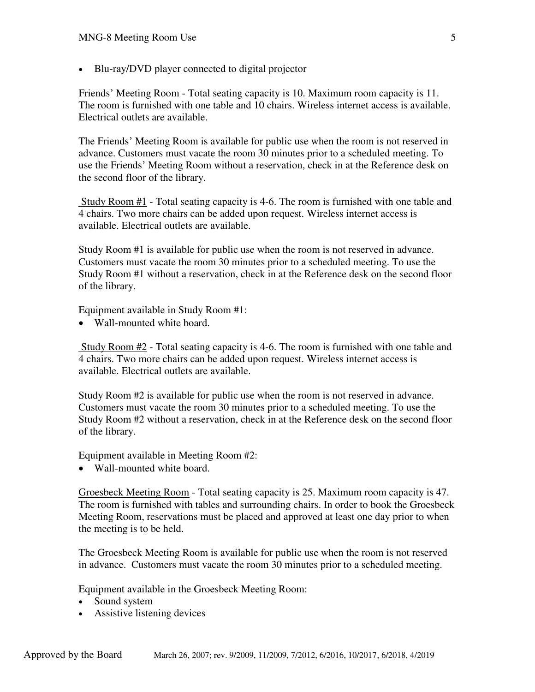Blu-ray/DVD player connected to digital projector

Friends' Meeting Room - Total seating capacity is 10. Maximum room capacity is 11. The room is furnished with one table and 10 chairs. Wireless internet access is available. Electrical outlets are available.

The Friends' Meeting Room is available for public use when the room is not reserved in advance. Customers must vacate the room 30 minutes prior to a scheduled meeting. To use the Friends' Meeting Room without a reservation, check in at the Reference desk on the second floor of the library.

 Study Room #1 - Total seating capacity is 4-6. The room is furnished with one table and 4 chairs. Two more chairs can be added upon request. Wireless internet access is available. Electrical outlets are available.

Study Room #1 is available for public use when the room is not reserved in advance. Customers must vacate the room 30 minutes prior to a scheduled meeting. To use the Study Room #1 without a reservation, check in at the Reference desk on the second floor of the library.

Equipment available in Study Room #1:

• Wall-mounted white board.

 Study Room #2 - Total seating capacity is 4-6. The room is furnished with one table and 4 chairs. Two more chairs can be added upon request. Wireless internet access is available. Electrical outlets are available.

Study Room #2 is available for public use when the room is not reserved in advance. Customers must vacate the room 30 minutes prior to a scheduled meeting. To use the Study Room #2 without a reservation, check in at the Reference desk on the second floor of the library.

Equipment available in Meeting Room #2:

• Wall-mounted white board.

Groesbeck Meeting Room - Total seating capacity is 25. Maximum room capacity is 47. The room is furnished with tables and surrounding chairs. In order to book the Groesbeck Meeting Room, reservations must be placed and approved at least one day prior to when the meeting is to be held.

The Groesbeck Meeting Room is available for public use when the room is not reserved in advance. Customers must vacate the room 30 minutes prior to a scheduled meeting.

Equipment available in the Groesbeck Meeting Room:

- Sound system
- Assistive listening devices